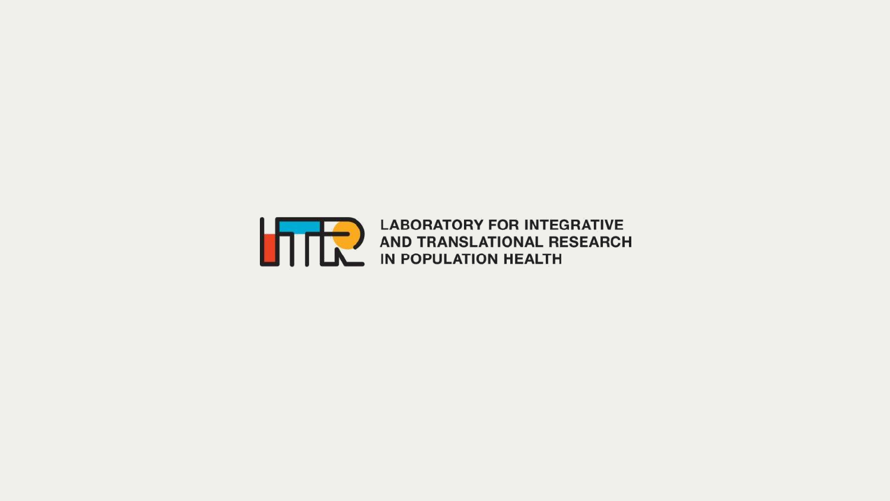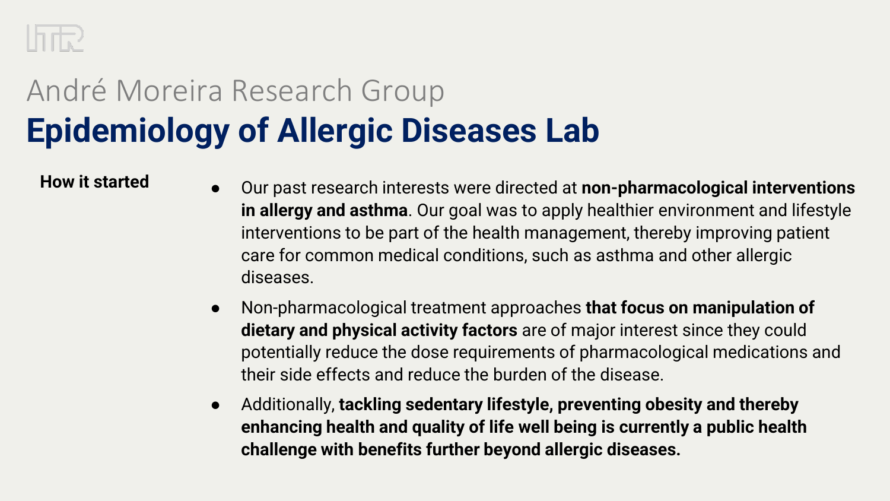

- **How it started** <br> **e** Our past research interests were directed at **non-pharmacological interventions in allergy and asthma**. Our goal was to apply healthier environment and lifestyle interventions to be part of the health management, thereby improving patient care for common medical conditions, such as asthma and other allergic diseases.
	- Non-pharmacological treatment approaches **that focus on manipulation of dietary and physical activity factors** are of major interest since they could potentially reduce the dose requirements of pharmacological medications and their side effects and reduce the burden of the disease.
	- Additionally, **tackling sedentary lifestyle, preventing obesity and thereby enhancing health and quality of life well being is currently a public health challenge with benefits further beyond allergic diseases.**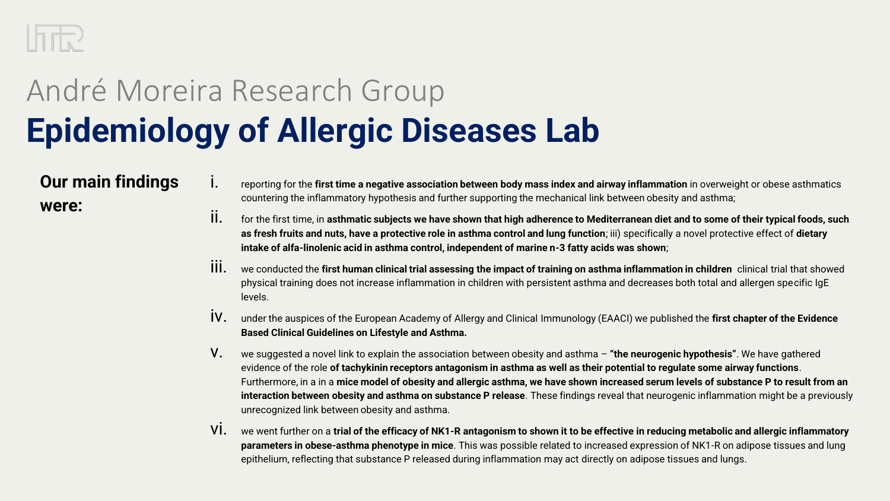

### **Our main findings were:**

- i. reporting for the **first time a negative association between body mass index and airway inflammation** in overweight or obese asthmatics countering the inflammatory hypothesis and further supporting the mechanical link between obesity and asthma;
- ii. for the first time, in **asthmatic subjects we have shown that high adherence to Mediterranean diet and to some of their typical foods, such as fresh fruits and nuts, have a protective role in asthma control and lung function**; iii) specifically a novel protective effect of **dietary intake of alfa-linolenic acid in asthma control, independent of marine n-3 fatty acids was shown**;
- iii. we conducted the **first human clinical trial assessing the impact of training on asthma inflammation in children** clinical trial that showed physical training does not increase inflammation in children with persistent asthma and decreases both total and allergen specific IgE levels.
- iv. under the auspices of the European Academy of Allergy and Clinical Immunology (EAACI) we published the **first chapter of the Evidence Based Clinical Guidelines on Lifestyle and Asthma.**
- v. we suggested a novel link to explain the association between obesity and asthma **"the neurogenic hypothesis"**. We have gathered evidence of the role **of tachykinin receptors antagonism in asthma as well as their potential to regulate some airway functions**. Furthermore, in a in a **mice model of obesity and allergic asthma, we have shown increased serum levels of substance P to result from an interaction between obesity and asthma on substance P release**. These findings reveal that neurogenic inflammation might be a previously unrecognized link between obesity and asthma.
- vi. we went further on a **trial of the efficacy of NK1-R antagonism to shown it to be effective in reducing metabolic and allergic inflammatory parameters in obese-asthma phenotype in mice**. This was possible related to increased expression of NK1-R on adipose tissues and lung epithelium, reflecting that substance P released during inflammation may act directly on adipose tissues and lungs.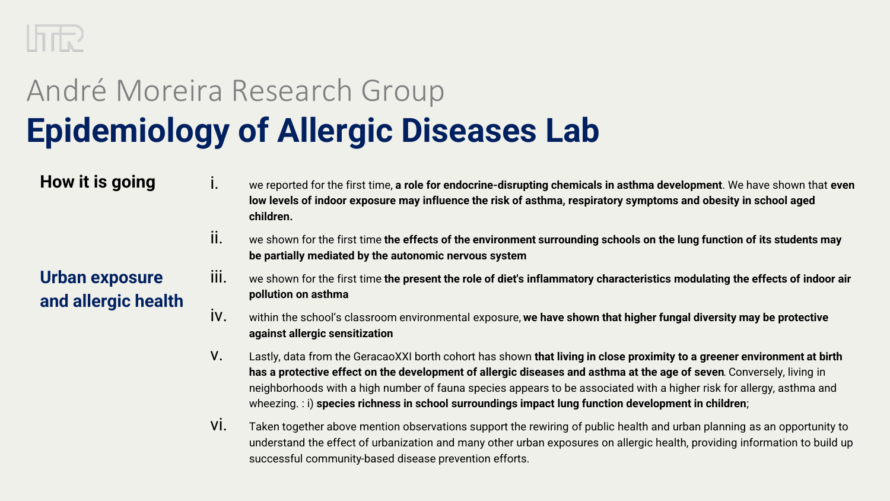

#### **How it is going**

- i. we reported for the first time, **a role for endocrine-disrupting chemicals in asthma development**. We have shown that **even low levels of indoor exposure may influence the risk of asthma, respiratory symptoms and obesity in school aged children.**
- ii. we shown for the first time **the effects of the environment surrounding schools on the lung function of its students may be partially mediated by the autonomic nervous system**

#### **Urban exposure and allergic health**

- iii. we shown for the first time **the present the role of diet's inflammatory characteristics modulating the effects of indoor air pollution on asthma**
- iv. within the school's classroom environmental exposure, **we have shown that higher fungal diversity may be protective against allergic sensitization**
- v. Lastly, data from the GeracaoXXI borth cohort has shown **that living in close proximity to a greener environment at birth has a protective effect on the development of allergic diseases and asthma at the age of seven**. Conversely, living in neighborhoods with a high number of fauna species appears to be associated with a higher risk for allergy, asthma and wheezing. : i) **species richness in school surroundings impact lung function development in children**;
- vi. Taken together above mention observations support the rewiring of public health and urban planning as an opportunity to understand the effect of urbanization and many other urban exposures on allergic health, providing information to build up successful community-based disease prevention efforts.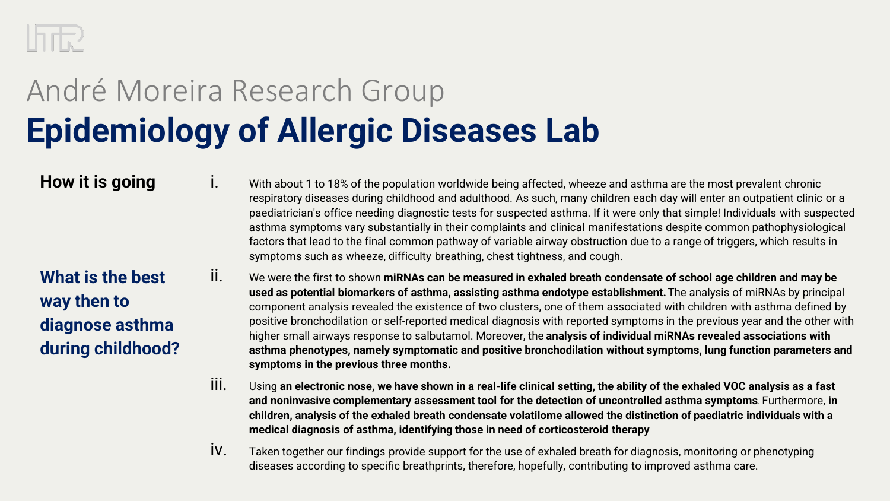

#### **How it is going**

i. With about 1 to 18% of the population worldwide being affected, wheeze and asthma are the most prevalent chronic respiratory diseases during childhood and adulthood. As such, many children each day will enter an outpatient clinic or a paediatrician's office needing diagnostic tests for suspected asthma. If it were only that simple! Individuals with suspected asthma symptoms vary substantially in their complaints and clinical manifestations despite common pathophysiological factors that lead to the final common pathway of variable airway obstruction due to a range of triggers, which results in symptoms such as wheeze, difficulty breathing, chest tightness, and cough.

**What is the best way then to diagnose asthma during childhood?**

- ii. We were the first to shown **miRNAs can be measured in exhaled breath condensate of school age children and may be used as potential biomarkers of asthma, assisting asthma endotype establishment.** The analysis of miRNAs by principal component analysis revealed the existence of two clusters, one of them associated with children with asthma defined by positive bronchodilation or self-reported medical diagnosis with reported symptoms in the previous year and the other with higher small airways response to salbutamol. Moreover, the **analysis of individual miRNAs revealed associations with asthma phenotypes, namely symptomatic and positive bronchodilation without symptoms, lung function parameters and symptoms in the previous three months.**
- iii. Using **an electronic nose, we have shown in a real-life clinical setting, the ability of the exhaled VOC analysis as a fast and noninvasive complementary assessment tool for the detection of uncontrolled asthma symptoms**. Furthermore, **in children, analysis of the exhaled breath condensate volatilome allowed the distinction of paediatric individuals with a medical diagnosis of asthma, identifying those in need of corticosteroid therapy**
- iv. Taken together our findings provide support for the use of exhaled breath for diagnosis, monitoring or phenotyping diseases according to specific breathprints, therefore, hopefully, contributing to improved asthma care.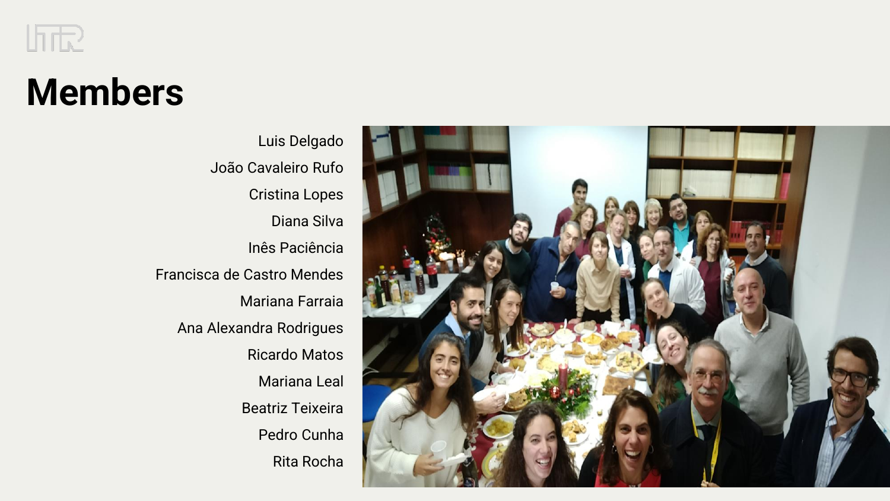

### **Members**

Luis Delgado João Cavaleiro Rufo Cristina Lopes Diana Silva Inês Paciência Francisca de Castro Mendes Mariana Farraia Ana Alexandra Rodrigues Ricardo Matos Mariana Leal Beatriz Teixeira Pedro Cunha Rita Rocha

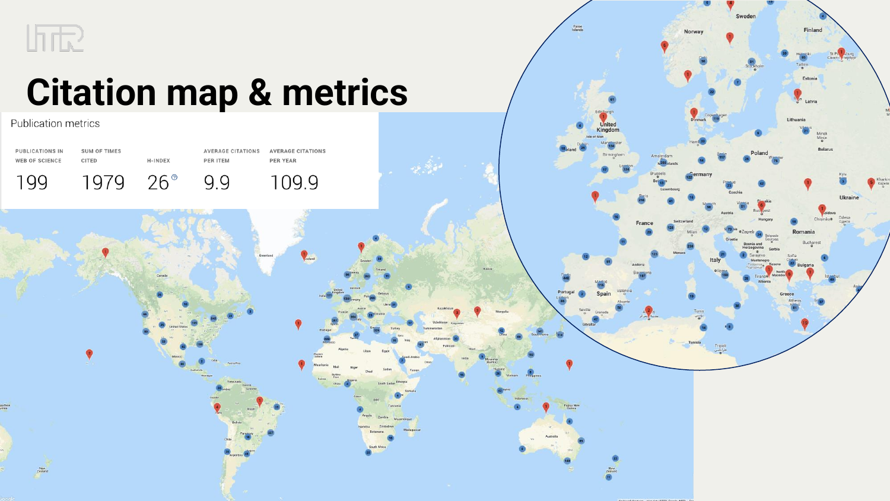

## **Citation map & metrics**

Publication metrics



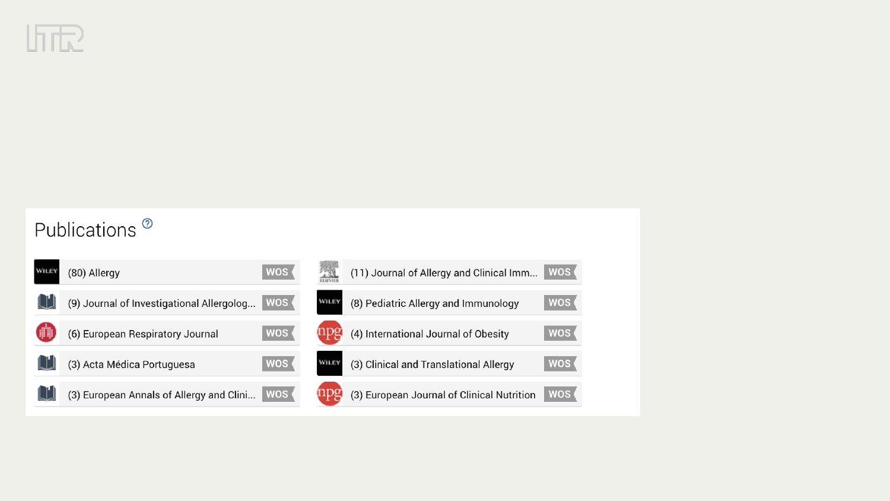

### Publications<sup>®</sup>

| WILE | (80) Allergy                              | <b>WOS</b> |       | (11) Journal of Allergy and Clinical Imm   | WOS (      |
|------|-------------------------------------------|------------|-------|--------------------------------------------|------------|
|      | (9) Journal of Investigational Allergolog | <b>WOS</b> | WILE  | (8) Pediatric Allergy and Immunology       | <b>WOS</b> |
|      | (6) European Respiratory Journal          | <b>WOS</b> |       | (4) International Journal of Obesity       | <b>WOS</b> |
|      | (3) Acta Médica Portuguesa                | <b>WOS</b> | WILE! | (3) Clinical and Translational Allergy     | <b>WOS</b> |
|      | (3) European Annals of Allergy and Clini  | WOS        |       | (3) European Journal of Clinical Nutrition | <b>WOS</b> |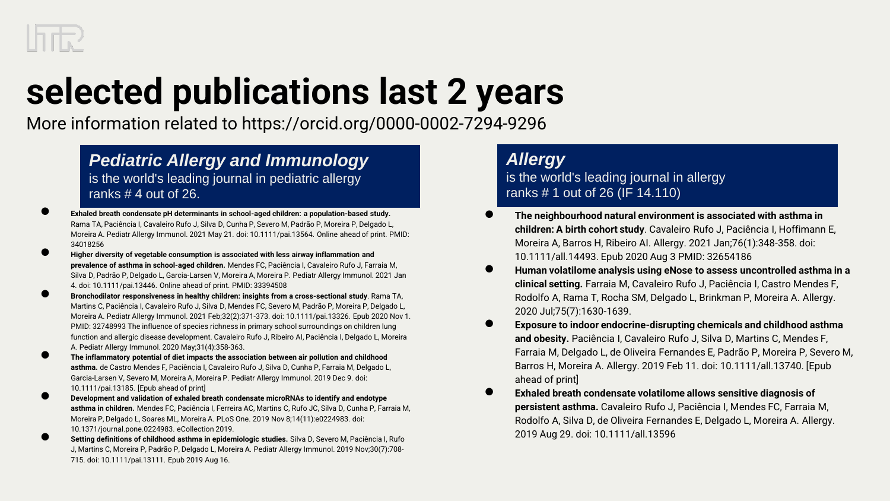

# **selected publications last 2 years**

More information related to https://orcid.org/0000-0002-7294-9296

#### *Pediatric Allergy and Immunology* is the world's leading journal in pediatric allergy ranks # 4 out of 26.

- Exhaled breath condensate pH determinants in school-aged children: a population-based study. Rama TA, Paciência I, Cavaleiro Rufo J, Silva D, Cunha P, Severo M, Padrão P, Moreira P, Delgado L, Moreira A. Pediatr Allergy Immunol. 2021 May 21. doi: 10.1111/pai.13564. Online ahead of print. PMID: 34018256
- **Higher diversity of vegetable consumption is associated with less airway inflammation and prevalence of asthma in school-aged children.** Mendes FC, Paciência I, Cavaleiro Rufo J, Farraia M, Silva D, Padrão P, Delgado L, Garcia-Larsen V, Moreira A, Moreira P. Pediatr Allergy Immunol. 2021 Jan 4. doi: 10.1111/pai.13446. Online ahead of print. PMID: 33394508
- **Bronchodilator responsiveness in healthy children: insights from a cross-sectional study**. Rama TA, Martins C, Paciência I, Cavaleiro Rufo J, Silva D, Mendes FC, Severo M, Padrão P, Moreira P, Delgado L, Moreira A. Pediatr Allergy Immunol. 2021 Feb;32(2):371-373. doi: 10.1111/pai.13326. Epub 2020 Nov 1. PMID: 32748993 The influence of species richness in primary school surroundings on children lung function and allergic disease development. Cavaleiro Rufo J, Ribeiro AI, Paciência I, Delgado L, Moreira A. Pediatr Allergy Immunol. 2020 May;31(4):358-363.
- **The inflammatory potential of diet impacts the association between air pollution and childhood asthma.** de Castro Mendes F, Paciência I, Cavaleiro Rufo J, Silva D, Cunha P, Farraia M, Delgado L, Garcia-Larsen V, Severo M, Moreira A, Moreira P. Pediatr Allergy Immunol. 2019 Dec 9. doi: 10.1111/pai.13185. [Epub ahead of print]
- **Development and validation of exhaled breath condensate microRNAs to identify and endotype asthma in children.** Mendes FC, Paciência I, Ferreira AC, Martins C, Rufo JC, Silva D, Cunha P, Farraia M, Moreira P, Delgado L, Soares ML, Moreira A. PLoS One. 2019 Nov 8;14(11):e0224983. doi: 10.1371/journal.pone.0224983. eCollection 2019.
- **Setting definitions of childhood asthma in epidemiologic studies.** Silva D, Severo M, Paciência I, Rufo J, Martins C, Moreira P, Padrão P, Delgado L, Moreira A. Pediatr Allergy Immunol. 2019 Nov;30(7):708- 715. doi: 10.1111/pai.13111. Epub 2019 Aug 16.

#### *Allergy*

is the world's leading journal in allergy ranks # 1 out of 26 (IF 14.110)

- **The neighbourhood natural environment is associated with asthma in children: A birth cohort study**. Cavaleiro Rufo J, Paciência I, Hoffimann E, Moreira A, Barros H, Ribeiro AI. Allergy. 2021 Jan;76(1):348-358. doi: 10.1111/all.14493. Epub 2020 Aug 3 PMID: 32654186
- **Human volatilome analysis using eNose to assess uncontrolled asthma in a clinical setting.** Farraia M, Cavaleiro Rufo J, Paciência I, Castro Mendes F, Rodolfo A, Rama T, Rocha SM, Delgado L, Brinkman P, Moreira A. Allergy. 2020 Jul;75(7):1630-1639.
- **Exposure to indoor endocrine-disrupting chemicals and childhood asthma and obesity.** Paciência I, Cavaleiro Rufo J, Silva D, Martins C, Mendes F, Farraia M, Delgado L, de Oliveira Fernandes E, Padrão P, Moreira P, Severo M, Barros H, Moreira A. Allergy. 2019 Feb 11. doi: 10.1111/all.13740. [Epub ahead of print]
- **Exhaled breath condensate volatilome allows sensitive diagnosis of persistent asthma.** Cavaleiro Rufo J, Paciência I, Mendes FC, Farraia M, Rodolfo A, Silva D, de Oliveira Fernandes E, Delgado L, Moreira A. Allergy. 2019 Aug 29. doi: 10.1111/all.13596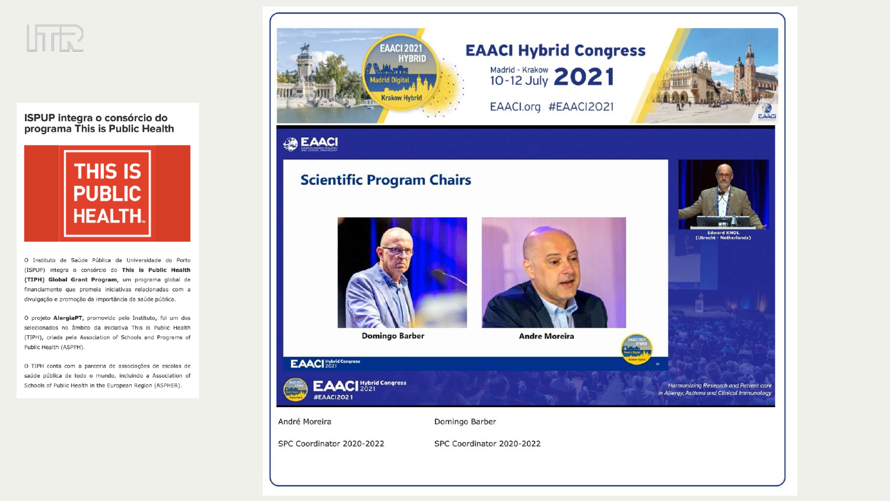

**ISPUP integra o consórcio do** programa This is Public Health



O Instituto de Saúde Pública da Universidade do Porto (ISPUP) integra o consórcio do This is Public Health (TIPH) Global Grant Program, um programa global de financiamento que premeia iniciativas relacionadas com a divulgação e promoção da importância da saúde pública.

O projeto AlergiaPT, promovido pelo Instituto, foi um dos selecionados no âmbito da iniciativa This is Public Health (TIPH), criada pela Association of Schools and Programs of Public Health (ASPPH).

O TIPH conta com a parceria de associações de escolas de saúde pública de todo o mundo, incluindo a Association of Schools of Public Health in the European Region (ASPHER).

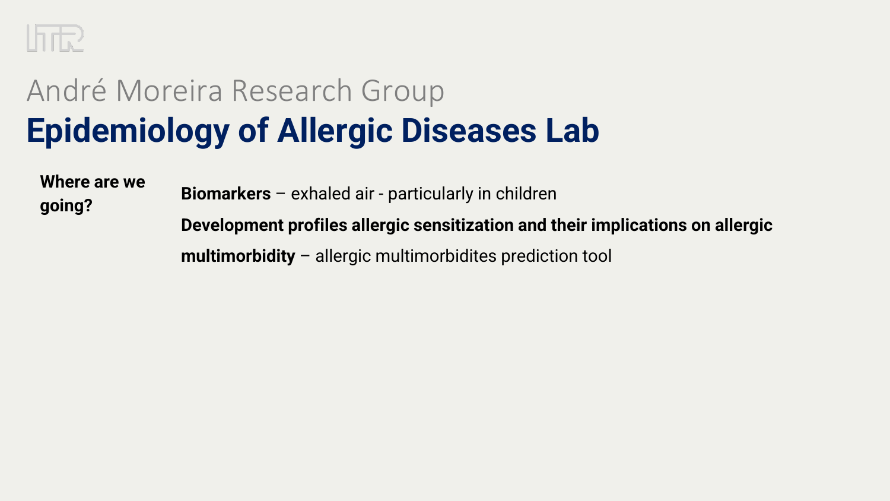

**Where are we going?**

**Biomarkers** – exhaled air - particularly in children **Development profiles allergic sensitization and their implications on allergic** 

**multimorbidity** – allergic multimorbidites prediction tool